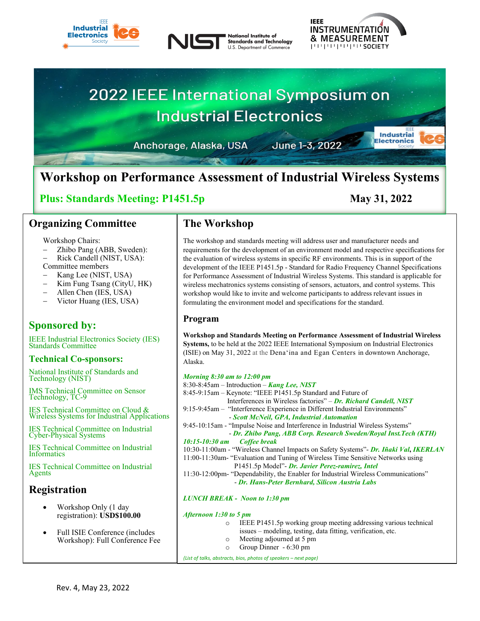







Anchorage, Alaska, USA

June 1-3, 2022

# **Workshop on Performance Assessment of Industrial Wireless Systems**

# **Plus: Standards Meeting: P1451.5p May 31, 2022**

# **Organizing Committee**

Workshop Chairs:

- − Zhibo Pang (ABB, Sweden):
- − Rick Candell (NIST, USA): Committee members
- − Kang Lee (NIST, USA)
- Kim Fung Tsang (CityU, HK)
- − Allen Chen (IES, USA)
- Victor Huang (IES, USA)

# **Sponsored by:**

IEEE Industrial Electronics Society (IES) Standards Committee

### **Technical Co-sponsors:**

National Institute of Standards and Technology (NIST)

IMS Technical Committee on Sensor Technology, TC-9

IES Technical Committee on Cloud & Wireless Systems for Industrial Applications

IES Technical Committee on Industrial Cyber-Physical Systems

IES Technical Committee on Industrial Informatics

IES Technical Committee on Industrial Agents

# **Registration**

- Workshop Only (1 day registration): **USD\$100.00**
- Full ISIE Conference (includes Workshop): Full Conference Fee

# **The Workshop**

The workshop and standards meeting will address user and manufacturer needs and requirements for the development of an environment model and respective specifications for the evaluation of wireless systems in specific RF environments. This is in support of the development of the IEEE P1451.5p - Standard for Radio Frequency Channel Specifications for Performance Assessment of Industrial Wireless Systems. This standard is applicable for wireless mechatronics systems consisting of sensors, actuators, and control systems. This workshop would like to invite and welcome participants to address relevant issues in formulating the environment model and specifications for the standard.

# **Program**

**Workshop and Standards Meeting on Performance Assessment of Industrial Wireless Systems,** to be held at the 2022 IEEE International Symposium on Industrial Electronics (ISIE) on May 31, 2022 at the Dena'ina and Egan Centers in downtown Anchorage, Alaska.

| <b>Morning 8:30 am to 12:00 pm</b>                                                    |
|---------------------------------------------------------------------------------------|
| 8:30-8:45am – Introduction – Kang Lee, NIST                                           |
| 8:45-9:15am – Keynote: "IEEE P1451.5p Standard and Future of                          |
| Interferences in Wireless factories" – Dr. Richard Candell, NIST                      |
| 9:15-9:45am - "Interference Experience in Different Industrial Environments"          |
| - Scott McNeil, GPA, Industrial Automation                                            |
| 9:45-10:15am - "Impulse Noise and Interference in Industrial Wireless Systems"        |
| - Dr. Zhibo Pang, ABB Corp. Research Sweden/Royal Inst. Tech (KTH)                    |
| $10:15 - 10:30$ am<br>Coffee break                                                    |
| 10:30-11:00am - "Wireless Channel Impacts on Safety Systems" - Dr. Iñaki Val, IKERLAN |
| 11:00-11:30am- "Evaluation and Tuning of Wireless Time Sensitive Networks using       |
| P1451.5p Model"- Dr. Javier Perez-ramirez, Intel                                      |
| 11:30-12:00pm- "Dependability, the Enabler for Industrial Wireless Communications"    |
| - Dr. Hans-Peter Bernhard, Silicon Austria Labs                                       |
| <b>LUNCH BREAK - Noon to 1:30 pm</b>                                                  |
| $10.4$ compared $1.20 \pm 1.2$                                                        |

- *Afternoon 1:30 to* 
	- o IEEE P1451.5p working group meeting addressing various technical issues – modeling, testing, data fitting, verification, etc.
		- o Meeting adjourned at 5 pm
		- o Group Dinner 6:30 pm

*(List of talks, abstracts, bios, photos of speakers – next page)*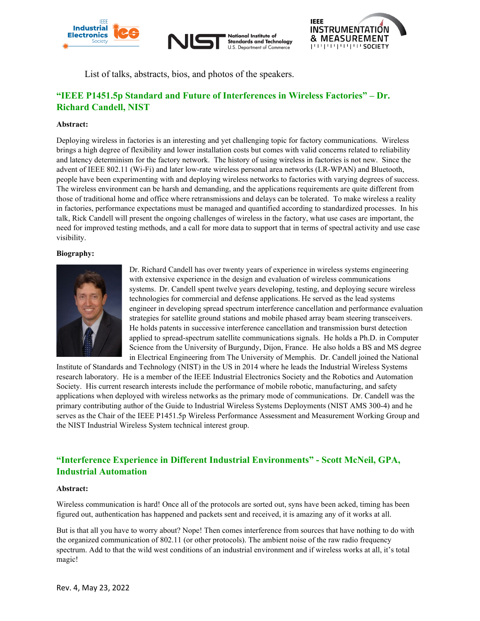

**National Institute of Standards and Technology** U.S. Department of Commerce



List of talks, abstracts, bios, and photos of the speakers.

# **"IEEE P1451.5p Standard and Future of Interferences in Wireless Factories" – Dr. Richard Candell, NIST**

#### **Abstract:**

Deploying wireless in factories is an interesting and yet challenging topic for factory communications. Wireless brings a high degree of flexibility and lower installation costs but comes with valid concerns related to reliability and latency determinism for the factory network. The history of using wireless in factories is not new. Since the advent of IEEE 802.11 (Wi-Fi) and later low-rate wireless personal area networks (LR-WPAN) and Bluetooth, people have been experimenting with and deploying wireless networks to factories with varying degrees of success. The wireless environment can be harsh and demanding, and the applications requirements are quite different from those of traditional home and office where retransmissions and delays can be tolerated. To make wireless a reality in factories, performance expectations must be managed and quantified according to standardized processes. In his talk, Rick Candell will present the ongoing challenges of wireless in the factory, what use cases are important, the need for improved testing methods, and a call for more data to support that in terms of spectral activity and use case visibility.

#### **Biography:**



Dr. Richard Candell has over twenty years of experience in wireless systems engineering with extensive experience in the design and evaluation of wireless communications systems.  Dr. Candell spent twelve years developing, testing, and deploying secure wireless technologies for commercial and defense applications. He served as the lead systems engineer in developing spread spectrum interference cancellation and performance evaluation strategies for satellite ground stations and mobile phased array beam steering transceivers. He holds patents in successive interference cancellation and transmission burst detection applied to spread-spectrum satellite communications signals. He holds a Ph.D. in Computer Science from the University of Burgundy, Dijon, France. He also holds a BS and MS degree in Electrical Engineering from The University of Memphis. Dr. Candell joined the National

Institute of Standards and Technology (NIST) in the US in 2014 where he leads the Industrial Wireless Systems research laboratory. He is a member of the IEEE Industrial Electronics Society and the Robotics and Automation Society. His current research interests include the performance of mobile robotic, manufacturing, and safety applications when deployed with wireless networks as the primary mode of communications. Dr. Candell was the primary contributing author of the Guide to Industrial Wireless Systems Deployments (NIST AMS 300-4) and he serves as the Chair of the IEEE P1451.5p Wireless Performance Assessment and Measurement Working Group and the NIST Industrial Wireless System technical interest group.

### **"Interference Experience in Different Industrial Environments" - Scott McNeil, GPA, Industrial Automation**

#### **Abstract:**

Wireless communication is hard! Once all of the protocols are sorted out, syns have been acked, timing has been figured out, authentication has happened and packets sent and received, it is amazing any of it works at all.

But is that all you have to worry about? Nope! Then comes interference from sources that have nothing to do with the organized communication of 802.11 (or other protocols). The ambient noise of the raw radio frequency spectrum. Add to that the wild west conditions of an industrial environment and if wireless works at all, it's total magic!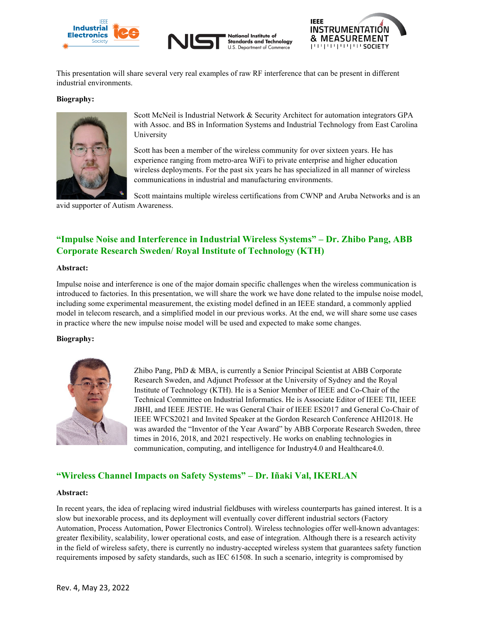





This presentation will share several very real examples of raw RF interference that can be present in different industrial environments.

#### **Biography:**



Scott McNeil is Industrial Network & Security Architect for automation integrators GPA with Assoc. and BS in Information Systems and Industrial Technology from East Carolina University

Scott has been a member of the wireless community for over sixteen years. He has experience ranging from metro-area WiFi to private enterprise and higher education wireless deployments. For the past six years he has specialized in all manner of wireless communications in industrial and manufacturing environments.

Scott maintains multiple wireless certifications from CWNP and Aruba Networks and is an

avid supporter of Autism Awareness.

## **"Impulse Noise and Interference in Industrial Wireless Systems" – Dr. Zhibo Pang, ABB Corporate Research Sweden/ Royal Institute of Technology (KTH)**

#### **Abstract:**

Impulse noise and interference is one of the major domain specific challenges when the wireless communication is introduced to factories. In this presentation, we will share the work we have done related to the impulse noise model, including some experimental measurement, the existing model defined in an IEEE standard, a commonly applied model in telecom research, and a simplified model in our previous works. At the end, we will share some use cases in practice where the new impulse noise model will be used and expected to make some changes.

#### **Biography:**



Zhibo Pang, PhD & MBA, is currently a Senior Principal Scientist at ABB Corporate Research Sweden, and Adjunct Professor at the University of Sydney and the Royal Institute of Technology (KTH). He is a Senior Member of IEEE and Co-Chair of the Technical Committee on Industrial Informatics. He is Associate Editor of IEEE TII, IEEE JBHI, and IEEE JESTIE. He was General Chair of IEEE ES2017 and General Co-Chair of IEEE WFCS2021 and Invited Speaker at the Gordon Research Conference AHI2018. He was awarded the "Inventor of the Year Award" by ABB Corporate Research Sweden, three times in 2016, 2018, and 2021 respectively. He works on enabling technologies in communication, computing, and intelligence for Industry4.0 and Healthcare4.0.

### **"Wireless Channel Impacts on Safety Systems" – Dr. Iñaki Val, IKERLAN**

#### **Abstract:**

In recent years, the idea of replacing wired industrial fieldbuses with wireless counterparts has gained interest. It is a slow but inexorable process, and its deployment will eventually cover different industrial sectors (Factory Automation, Process Automation, Power Electronics Control). Wireless technologies offer well-known advantages: greater flexibility, scalability, lower operational costs, and ease of integration. Although there is a research activity in the field of wireless safety, there is currently no industry-accepted wireless system that guarantees safety function requirements imposed by safety standards, such as IEC 61508. In such a scenario, integrity is compromised by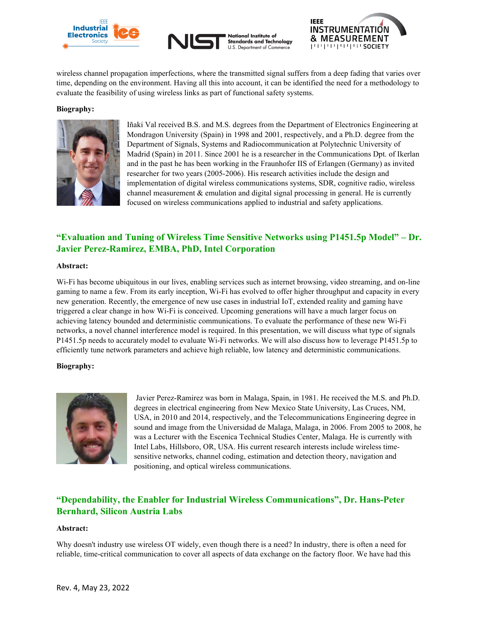





wireless channel propagation imperfections, where the transmitted signal suffers from a deep fading that varies over time, depending on the environment. Having all this into account, it can be identified the need for a methodology to evaluate the feasibility of using wireless links as part of functional safety systems.

#### **Biography:**



Iñaki Val received B.S. and M.S. degrees from the Department of Electronics Engineering at Mondragon University (Spain) in 1998 and 2001, respectively, and a Ph.D. degree from the Department of Signals, Systems and Radiocommunication at Polytechnic University of Madrid (Spain) in 2011. Since 2001 he is a researcher in the Communications Dpt. of Ikerlan and in the past he has been working in the Fraunhofer IIS of Erlangen (Germany) as invited researcher for two years (2005-2006). His research activities include the design and implementation of digital wireless communications systems, SDR, cognitive radio, wireless channel measurement & emulation and digital signal processing in general. He is currently focused on wireless communications applied to industrial and safety applications.

### **"Evaluation and Tuning of Wireless Time Sensitive Networks using P1451.5p Model" – Dr. Javier Perez-Ramirez, EMBA, PhD, Intel Corporation**

#### **Abstract:**

Wi-Fi has become ubiquitous in our lives, enabling services such as internet browsing, video streaming, and on-line gaming to name a few. From its early inception, Wi-Fi has evolved to offer higher throughput and capacity in every new generation. Recently, the emergence of new use cases in industrial IoT, extended reality and gaming have triggered a clear change in how Wi-Fi is conceived. Upcoming generations will have a much larger focus on achieving latency bounded and deterministic communications. To evaluate the performance of these new Wi-Fi networks, a novel channel interference model is required. In this presentation, we will discuss what type of signals P1451.5p needs to accurately model to evaluate Wi-Fi networks. We will also discuss how to leverage P1451.5p to efficiently tune network parameters and achieve high reliable, low latency and deterministic communications.

### **Biography:**



Javier Perez-Ramirez was born in Malaga, Spain, in 1981. He received the M.S. and Ph.D. degrees in electrical engineering from New Mexico State University, Las Cruces, NM, USA, in 2010 and 2014, respectively, and the Telecommunications Engineering degree in sound and image from the Universidad de Malaga, Malaga, in 2006. From 2005 to 2008, he was a Lecturer with the Escenica Technical Studies Center, Malaga. He is currently with Intel Labs, Hillsboro, OR, USA. His current research interests include wireless timesensitive networks, channel coding, estimation and detection theory, navigation and positioning, and optical wireless communications.

### **"Dependability, the Enabler for Industrial Wireless Communications", Dr. Hans-Peter Bernhard, Silicon Austria Labs**

### **Abstract:**

Why doesn't industry use wireless OT widely, even though there is a need? In industry, there is often a need for reliable, time-critical communication to cover all aspects of data exchange on the factory floor. We have had this